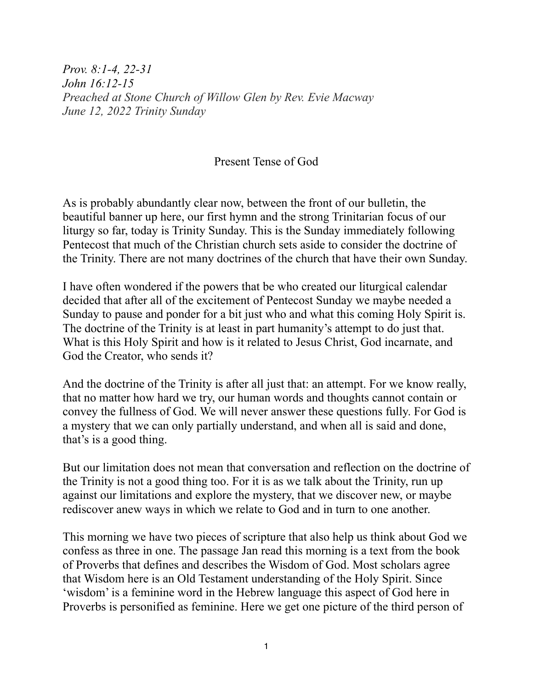*Prov. 8:1-4, 22-31 John 16:12-15 Preached at Stone Church of Willow Glen by Rev. Evie Macway June 12, 2022 Trinity Sunday*

## Present Tense of God

As is probably abundantly clear now, between the front of our bulletin, the beautiful banner up here, our first hymn and the strong Trinitarian focus of our liturgy so far, today is Trinity Sunday. This is the Sunday immediately following Pentecost that much of the Christian church sets aside to consider the doctrine of the Trinity. There are not many doctrines of the church that have their own Sunday.

I have often wondered if the powers that be who created our liturgical calendar decided that after all of the excitement of Pentecost Sunday we maybe needed a Sunday to pause and ponder for a bit just who and what this coming Holy Spirit is. The doctrine of the Trinity is at least in part humanity's attempt to do just that. What is this Holy Spirit and how is it related to Jesus Christ, God incarnate, and God the Creator, who sends it?

And the doctrine of the Trinity is after all just that: an attempt. For we know really, that no matter how hard we try, our human words and thoughts cannot contain or convey the fullness of God. We will never answer these questions fully. For God is a mystery that we can only partially understand, and when all is said and done, that's is a good thing.

But our limitation does not mean that conversation and reflection on the doctrine of the Trinity is not a good thing too. For it is as we talk about the Trinity, run up against our limitations and explore the mystery, that we discover new, or maybe rediscover anew ways in which we relate to God and in turn to one another.

This morning we have two pieces of scripture that also help us think about God we confess as three in one. The passage Jan read this morning is a text from the book of Proverbs that defines and describes the Wisdom of God. Most scholars agree that Wisdom here is an Old Testament understanding of the Holy Spirit. Since 'wisdom' is a feminine word in the Hebrew language this aspect of God here in Proverbs is personified as feminine. Here we get one picture of the third person of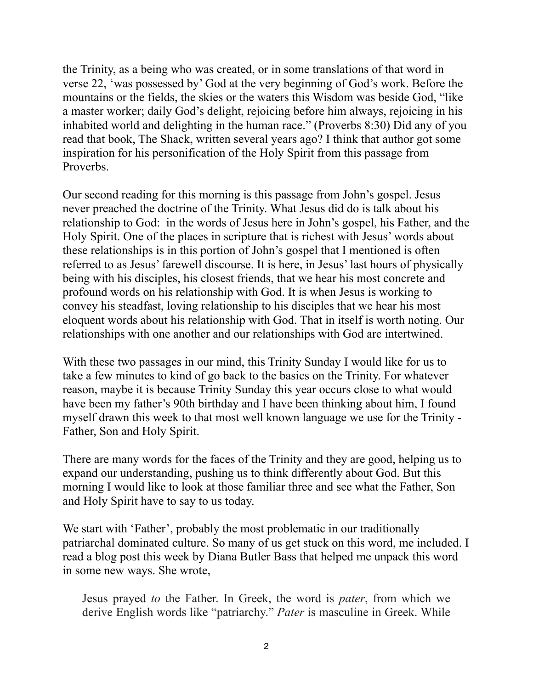the Trinity, as a being who was created, or in some translations of that word in verse 22, 'was possessed by' God at the very beginning of God's work. Before the mountains or the fields, the skies or the waters this Wisdom was beside God, "like a master worker; daily God's delight, rejoicing before him always, rejoicing in his inhabited world and delighting in the human race." (Proverbs 8:30) Did any of you read that book, The Shack, written several years ago? I think that author got some inspiration for his personification of the Holy Spirit from this passage from Proverbs.

Our second reading for this morning is this passage from John's gospel. Jesus never preached the doctrine of the Trinity. What Jesus did do is talk about his relationship to God: in the words of Jesus here in John's gospel, his Father, and the Holy Spirit. One of the places in scripture that is richest with Jesus' words about these relationships is in this portion of John's gospel that I mentioned is often referred to as Jesus' farewell discourse. It is here, in Jesus' last hours of physically being with his disciples, his closest friends, that we hear his most concrete and profound words on his relationship with God. It is when Jesus is working to convey his steadfast, loving relationship to his disciples that we hear his most eloquent words about his relationship with God. That in itself is worth noting. Our relationships with one another and our relationships with God are intertwined.

With these two passages in our mind, this Trinity Sunday I would like for us to take a few minutes to kind of go back to the basics on the Trinity. For whatever reason, maybe it is because Trinity Sunday this year occurs close to what would have been my father's 90th birthday and I have been thinking about him, I found myself drawn this week to that most well known language we use for the Trinity - Father, Son and Holy Spirit.

There are many words for the faces of the Trinity and they are good, helping us to expand our understanding, pushing us to think differently about God. But this morning I would like to look at those familiar three and see what the Father, Son and Holy Spirit have to say to us today.

We start with 'Father', probably the most problematic in our traditionally patriarchal dominated culture. So many of us get stuck on this word, me included. I read a blog post this week by Diana Butler Bass that helped me unpack this word in some new ways. She wrote,

Jesus prayed *to* the Father. In Greek, the word is *pater*, from which we derive English words like "patriarchy." *Pater* is masculine in Greek. While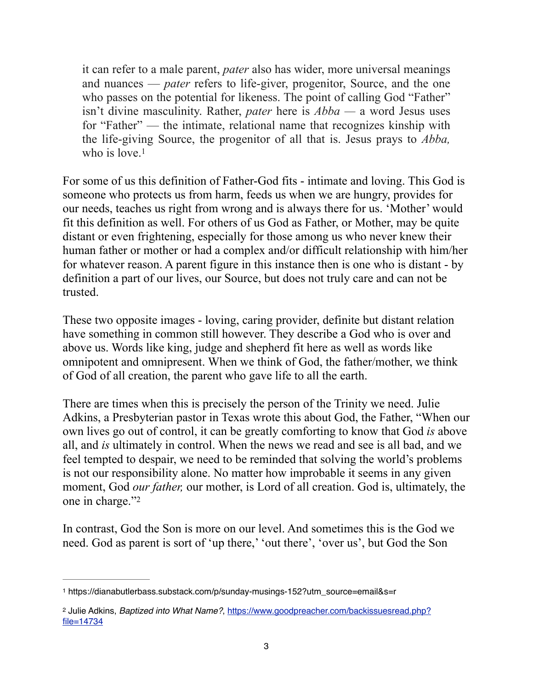it can refer to a male parent, *pater* also has wider, more universal meanings and nuances — *pater* refers to life-giver, progenitor, Source, and the one who passes on the potential for likeness. The point of calling God "Father" isn't divine masculinity. Rather, *pater* here is *Abba —* a word Jesus uses for "Father" — the intimate, relational name that recognizes kinship with the life-giving Source, the progenitor of all that is. Jesus prays to *Abba,*  who is love.<sup>[1](#page-2-0)</sup>

<span id="page-2-2"></span>For some of us this definition of Father-God fits - intimate and loving. This God is someone who protects us from harm, feeds us when we are hungry, provides for our needs, teaches us right from wrong and is always there for us. 'Mother' would fit this definition as well. For others of us God as Father, or Mother, may be quite distant or even frightening, especially for those among us who never knew their human father or mother or had a complex and/or difficult relationship with him/her for whatever reason. A parent figure in this instance then is one who is distant - by definition a part of our lives, our Source, but does not truly care and can not be trusted.

These two opposite images - loving, caring provider, definite but distant relation have something in common still however. They describe a God who is over and above us. Words like king, judge and shepherd fit here as well as words like omnipotent and omnipresent. When we think of God, the father/mother, we think of God of all creation, the parent who gave life to all the earth.

There are times when this is precisely the person of the Trinity we need. Julie Adkins, a Presbyterian pastor in Texas wrote this about God, the Father, "When our own lives go out of control, it can be greatly comforting to know that God *is* above all, and *is* ultimately in control. When the news we read and see is all bad, and we feel tempted to despair, we need to be reminded that solving the world's problems is not our responsibility alone. No matter how improbable it seems in any given moment, God *our father,* our mother, is Lord of all creation. God is, ultimately, the one in charge."[2](#page-2-1)

<span id="page-2-3"></span>In contrast, God the Son is more on our level. And sometimes this is the God we need. God as parent is sort of 'up there,' 'out there', 'over us', but God the Son

<span id="page-2-0"></span>https://dianabutlerbass.substack.com/p/sunday-musings-152?utm\_source=email&s=r [1](#page-2-2)

<span id="page-2-1"></span>[<sup>2</sup>](#page-2-3) Julie Adkins, *Baptized into What Name?*, [https://www.goodpreacher.com/backissuesread.php?](https://www.goodpreacher.com/backissuesread.php?file=14734) [file=14734](https://www.goodpreacher.com/backissuesread.php?file=14734)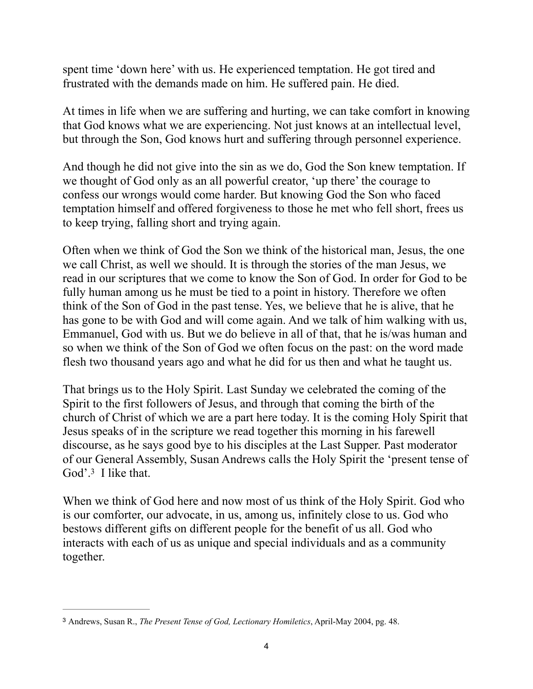spent time 'down here' with us. He experienced temptation. He got tired and frustrated with the demands made on him. He suffered pain. He died.

At times in life when we are suffering and hurting, we can take comfort in knowing that God knows what we are experiencing. Not just knows at an intellectual level, but through the Son, God knows hurt and suffering through personnel experience.

And though he did not give into the sin as we do, God the Son knew temptation. If we thought of God only as an all powerful creator, 'up there' the courage to confess our wrongs would come harder. But knowing God the Son who faced temptation himself and offered forgiveness to those he met who fell short, frees us to keep trying, falling short and trying again.

Often when we think of God the Son we think of the historical man, Jesus, the one we call Christ, as well we should. It is through the stories of the man Jesus, we read in our scriptures that we come to know the Son of God. In order for God to be fully human among us he must be tied to a point in history. Therefore we often think of the Son of God in the past tense. Yes, we believe that he is alive, that he has gone to be with God and will come again. And we talk of him walking with us, Emmanuel, God with us. But we do believe in all of that, that he is/was human and so when we think of the Son of God we often focus on the past: on the word made flesh two thousand years ago and what he did for us then and what he taught us.

That brings us to the Holy Spirit. Last Sunday we celebrated the coming of the Spirit to the first followers of Jesus, and through that coming the birth of the church of Christ of which we are a part here today. It is the coming Holy Spirit that Jesus speaks of in the scripture we read together this morning in his farewell discourse, as he says good bye to his disciples at the Last Supper. Past moderator of our General Assembly, Susan Andrews calls the Holy Spirit the 'present tense of God'. $3$  I like that.

<span id="page-3-1"></span>When we think of God here and now most of us think of the Holy Spirit. God who is our comforter, our advocate, in us, among us, infinitely close to us. God who bestows different gifts on different people for the benefit of us all. God who interacts with each of us as unique and special individuals and as a community together.

<span id="page-3-0"></span>Andrews, Susan R., *The Present Tense of God, Lectionary Homiletics*, April-May 2004, pg. 48. [3](#page-3-1)